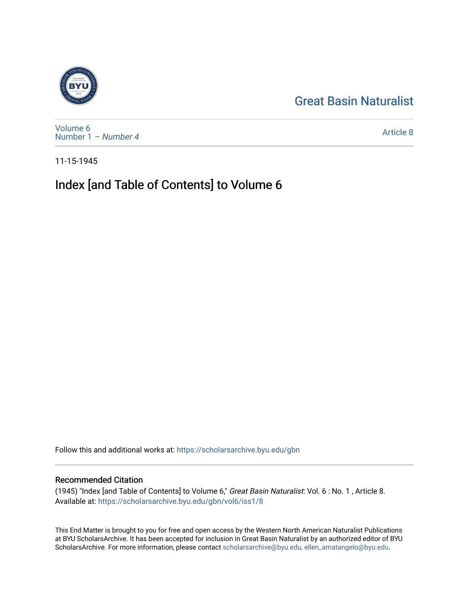## [Great Basin Naturalist](https://scholarsarchive.byu.edu/gbn)



[Volume 6](https://scholarsarchive.byu.edu/gbn/vol6) [Number 1](https://scholarsarchive.byu.edu/gbn/vol6/iss1) – Number 4

[Article 8](https://scholarsarchive.byu.edu/gbn/vol6/iss1/8) 

11-15-1945

# Index [and Table of Contents] to Volume 6

Follow this and additional works at: [https://scholarsarchive.byu.edu/gbn](https://scholarsarchive.byu.edu/gbn?utm_source=scholarsarchive.byu.edu%2Fgbn%2Fvol6%2Fiss1%2F8&utm_medium=PDF&utm_campaign=PDFCoverPages) 

## Recommended Citation

(1945) "Index [and Table of Contents] to Volume 6," Great Basin Naturalist: Vol. 6 : No. 1 , Article 8. Available at: [https://scholarsarchive.byu.edu/gbn/vol6/iss1/8](https://scholarsarchive.byu.edu/gbn/vol6/iss1/8?utm_source=scholarsarchive.byu.edu%2Fgbn%2Fvol6%2Fiss1%2F8&utm_medium=PDF&utm_campaign=PDFCoverPages) 

This End Matter is brought to you for free and open access by the Western North American Naturalist Publications at BYU ScholarsArchive. It has been accepted for inclusion in Great Basin Naturalist by an authorized editor of BYU ScholarsArchive. For more information, please contact [scholarsarchive@byu.edu, ellen\\_amatangelo@byu.edu.](mailto:scholarsarchive@byu.edu,%20ellen_amatangelo@byu.edu)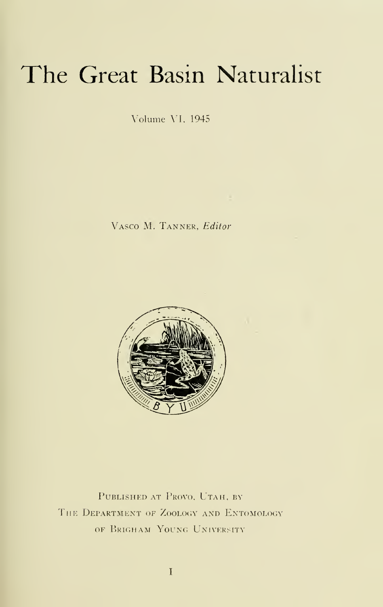# The Great Basin Naturalist

Volume \\. 1945

Vasco M. Tanner. Editor



PUBLISHED AT PROVO, UTAH, BY THE DEPARTMENT OF ZOOLOGY AND ENTOMOLOGY OF BRIGHAM YOUNG UNIVERSITY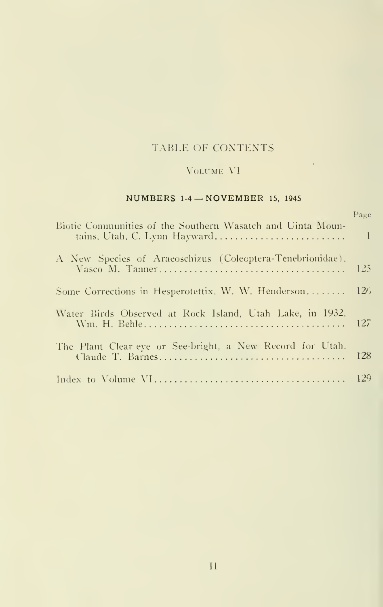#### TABLE OF CONTENTS

### $\sqrt{\text{OLCME}}$   $\sqrt{\text{V}}$

 $\mathcal{A}^{\mathrm{c}}$  .

#### NUMBERS 1-4 — NOVEMBER 15, <sup>1945</sup>

| Biotic Communities of the Southern Wasatch and Uinta Moun-<br>tains, Utah, C. Lynn Hayward | Page<br>$\vert$ |
|--------------------------------------------------------------------------------------------|-----------------|
| A New Species of Araeoschizus (Coleoptera-Tenebrionidae),                                  | -125            |
| Some Corrections in Hesperotettix, W. W. Henderson                                         | 126             |
| Water Birds Observed at Rock Island, Utah Lake, in 1932.                                   |                 |
| The Plant Clear-eye or See-bright, a New Record for Utah,                                  | 128             |
|                                                                                            |                 |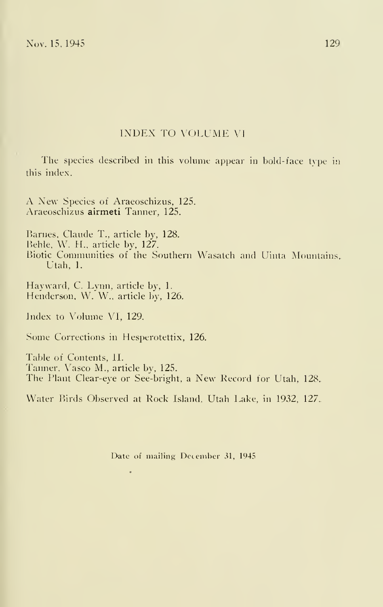#### INDEX TO VOLUME VI

The species described in this volume appear in bold-face type in this index.

A New Species of Araeoschizus, 125. Araeoschizus airmeti Tanner, 125.

Barnes. Claude T., article by, 128. Behle, W. H.. article by, 127. Biotic Communities of the Southern Wasatch and Uinta Mountains, Utah, 1.

Hayward, C. Lynn, article by, 1. Henderson, W. W., article by, 126.

Index to Volume VI, 129.

Some Corrections in Hesperotettix, 126.

 $\overline{a}$ 

Table of Contents, 1I. I'anner, Vasco M., article by, 125. The Plant Clear-eye or See-bright, a New Record for Utah, 128.

Water Birds Observed at Rock Island, Utah Lake, in 1932, 127.

Date of mailing December 31, 1945